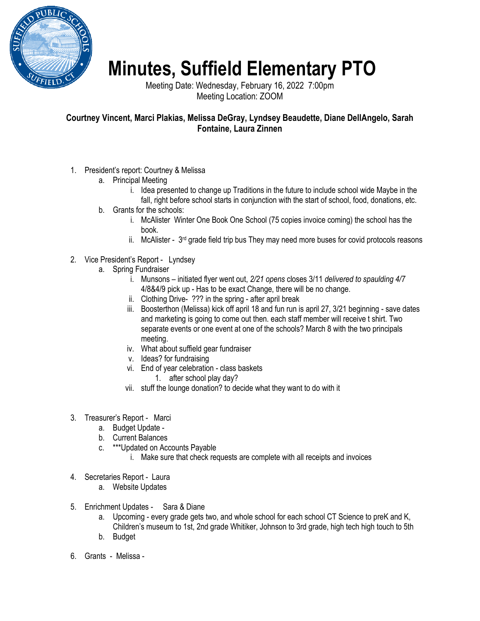

## **Minutes, Suffield Elementary PTO**

Meeting Date: Wednesday, February 16, 2022 7:00pm Meeting Location: ZOOM

## **Courtney Vincent, Marci Plakias, Melissa DeGray, Lyndsey Beaudette, Diane DellAngelo, Sarah Fontaine, Laura Zinnen**

- 1. President's report: Courtney & Melissa
	- a. Principal Meeting
		- i. Idea presented to change up Traditions in the future to include school wide Maybe in the fall, right before school starts in conjunction with the start of school, food, donations, etc.
	- b. Grants for the schools:
		- i. McAlister Winter One Book One School (75 copies invoice coming) the school has the book.
		- ii. McAlister  $3<sup>rd</sup>$  grade field trip bus They may need more buses for covid protocols reasons
- 2. Vice President's Report Lyndsey
	- a. Spring Fundraiser
		- i. Munsons initiated flyer went out, *2/21 opens* closes 3/11 *delivered to spaulding 4/7*  4/8&4/9 pick up - Has to be exact Change, there will be no change.
		- ii. Clothing Drive- ??? in the spring after april break
		- iii. Boosterthon (Melissa) kick off april 18 and fun run is april 27, 3/21 beginning save dates and marketing is going to come out then. each staff member will receive t shirt. Two separate events or one event at one of the schools? March 8 with the two principals meeting.
		- iv. What about suffield gear fundraiser
		- v. Ideas? for fundraising
		- vi. End of year celebration class baskets
			- 1. after school play day?
		- vii. stuff the lounge donation? to decide what they want to do with it
- 3. Treasurer's Report Marci
	- a. Budget Update -
	- b. Current Balances
	- c. \*\*\*Updated on Accounts Payable
		- i. Make sure that check requests are complete with all receipts and invoices
- 4. Secretaries Report Laura
	- a. Website Updates
- 5. Enrichment Updates Sara & Diane
	- a. Upcoming every grade gets two, and whole school for each school CT Science to preK and K, Children's museum to 1st, 2nd grade Whitiker, Johnson to 3rd grade, high tech high touch to 5th
	- b. Budget
- 6. Grants Melissa -